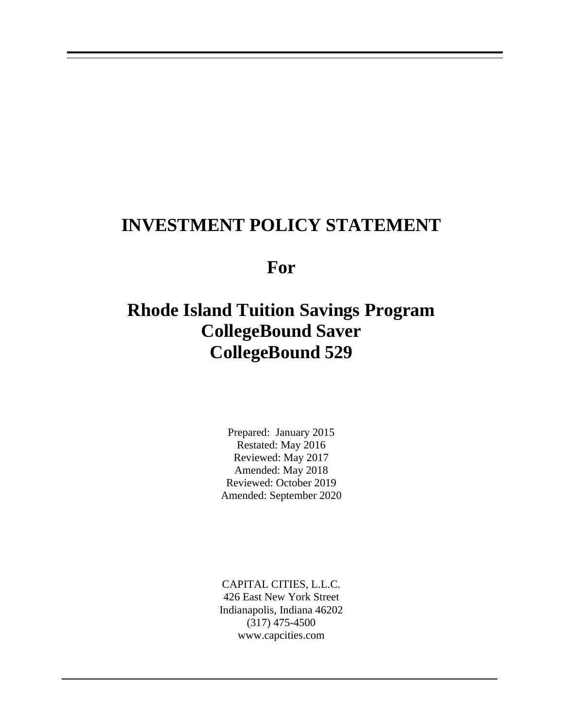# **INVESTMENT POLICY STATEMENT**

**For**

# **Rhode Island Tuition Savings Program CollegeBound Saver CollegeBound 529**

Prepared: January 2015 Restated: May 2016 Reviewed: May 2017 Amended: May 2018 Reviewed: October 2019 Amended: September 2020

CAPITAL CITIES, L.L.C. 426 East New York Street Indianapolis, Indiana 46202 (317) 475-4500 www.capcities.com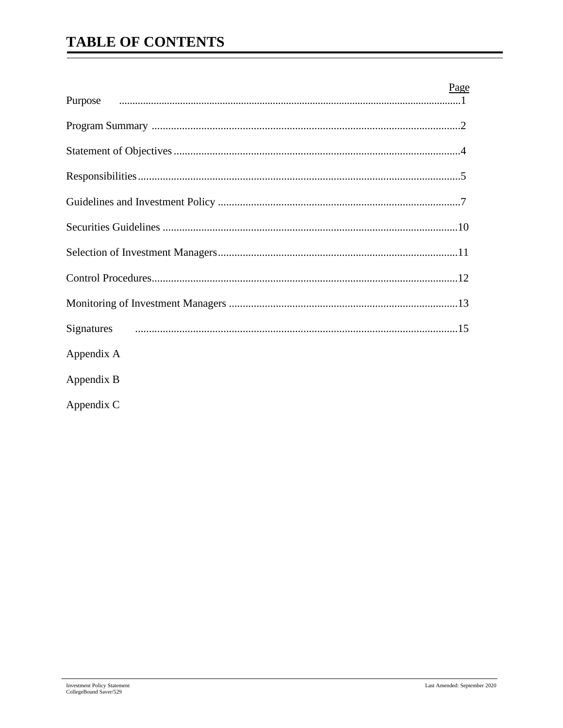# **TABLE OF CONTENTS**

|            | Page |
|------------|------|
|            |      |
|            |      |
|            |      |
|            |      |
|            |      |
|            |      |
|            |      |
|            |      |
|            |      |
| Appendix A |      |
| Appendix B |      |
| Appendix C |      |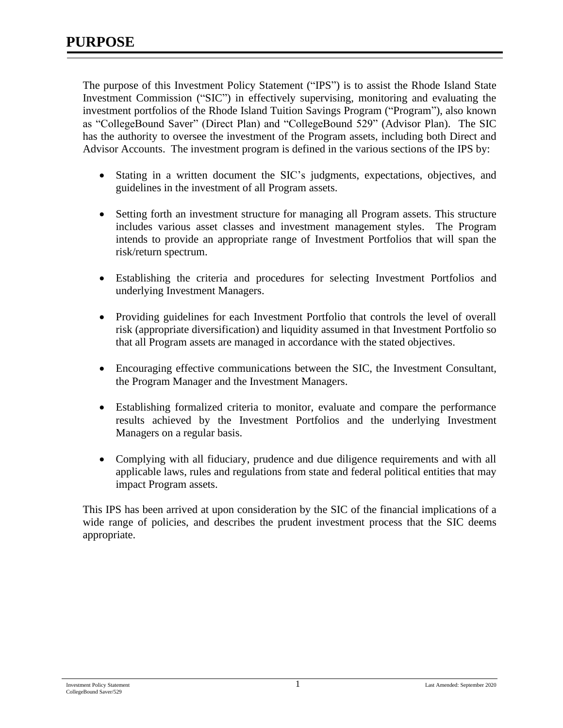The purpose of this Investment Policy Statement ("IPS") is to assist the Rhode Island State Investment Commission ("SIC") in effectively supervising, monitoring and evaluating the investment portfolios of the Rhode Island Tuition Savings Program ("Program"), also known as "CollegeBound Saver" (Direct Plan) and "CollegeBound 529" (Advisor Plan). The SIC has the authority to oversee the investment of the Program assets, including both Direct and Advisor Accounts. The investment program is defined in the various sections of the IPS by:

- Stating in a written document the SIC's judgments, expectations, objectives, and guidelines in the investment of all Program assets.
- Setting forth an investment structure for managing all Program assets. This structure includes various asset classes and investment management styles. The Program intends to provide an appropriate range of Investment Portfolios that will span the risk/return spectrum.
- Establishing the criteria and procedures for selecting Investment Portfolios and underlying Investment Managers.
- Providing guidelines for each Investment Portfolio that controls the level of overall risk (appropriate diversification) and liquidity assumed in that Investment Portfolio so that all Program assets are managed in accordance with the stated objectives.
- Encouraging effective communications between the SIC, the Investment Consultant, the Program Manager and the Investment Managers.
- Establishing formalized criteria to monitor, evaluate and compare the performance results achieved by the Investment Portfolios and the underlying Investment Managers on a regular basis.
- Complying with all fiduciary, prudence and due diligence requirements and with all applicable laws, rules and regulations from state and federal political entities that may impact Program assets.

This IPS has been arrived at upon consideration by the SIC of the financial implications of a wide range of policies, and describes the prudent investment process that the SIC deems appropriate.

Investment Policy Statement 1 Last Amended: September 2020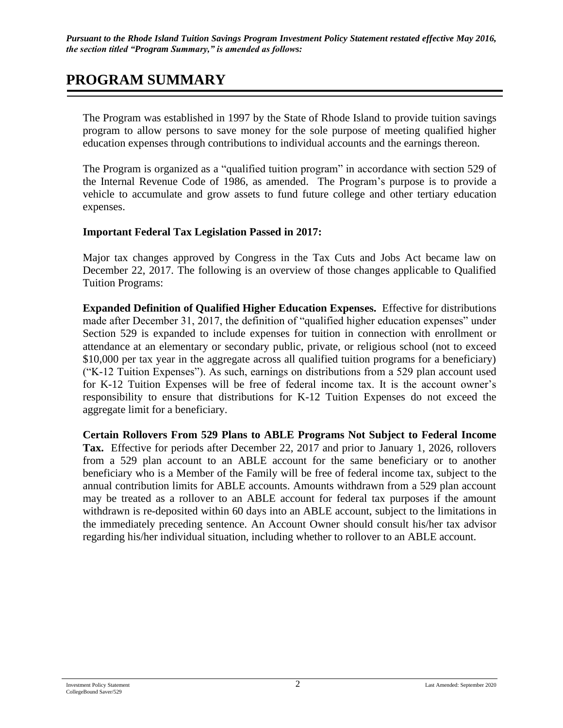# **PROGRAM SUMMARY**

The Program was established in 1997 by the State of Rhode Island to provide tuition savings program to allow persons to save money for the sole purpose of meeting qualified higher education expenses through contributions to individual accounts and the earnings thereon.

The Program is organized as a "qualified tuition program" in accordance with section 529 of the Internal Revenue Code of 1986, as amended. The Program's purpose is to provide a vehicle to accumulate and grow assets to fund future college and other tertiary education expenses.

#### **Important Federal Tax Legislation Passed in 2017:**

Major tax changes approved by Congress in the Tax Cuts and Jobs Act became law on December 22, 2017. The following is an overview of those changes applicable to Qualified Tuition Programs:

**Expanded Definition of Qualified Higher Education Expenses.** Effective for distributions made after December 31, 2017, the definition of "qualified higher education expenses" under Section 529 is expanded to include expenses for tuition in connection with enrollment or attendance at an elementary or secondary public, private, or religious school (not to exceed \$10,000 per tax year in the aggregate across all qualified tuition programs for a beneficiary) ("K-12 Tuition Expenses"). As such, earnings on distributions from a 529 plan account used for K-12 Tuition Expenses will be free of federal income tax. It is the account owner's responsibility to ensure that distributions for K-12 Tuition Expenses do not exceed the aggregate limit for a beneficiary.

**Certain Rollovers From 529 Plans to ABLE Programs Not Subject to Federal Income Tax.** Effective for periods after December 22, 2017 and prior to January 1, 2026, rollovers from a 529 plan account to an ABLE account for the same beneficiary or to another beneficiary who is a Member of the Family will be free of federal income tax, subject to the annual contribution limits for ABLE accounts. Amounts withdrawn from a 529 plan account may be treated as a rollover to an ABLE account for federal tax purposes if the amount withdrawn is re-deposited within 60 days into an ABLE account, subject to the limitations in the immediately preceding sentence. An Account Owner should consult his/her tax advisor regarding his/her individual situation, including whether to rollover to an ABLE account.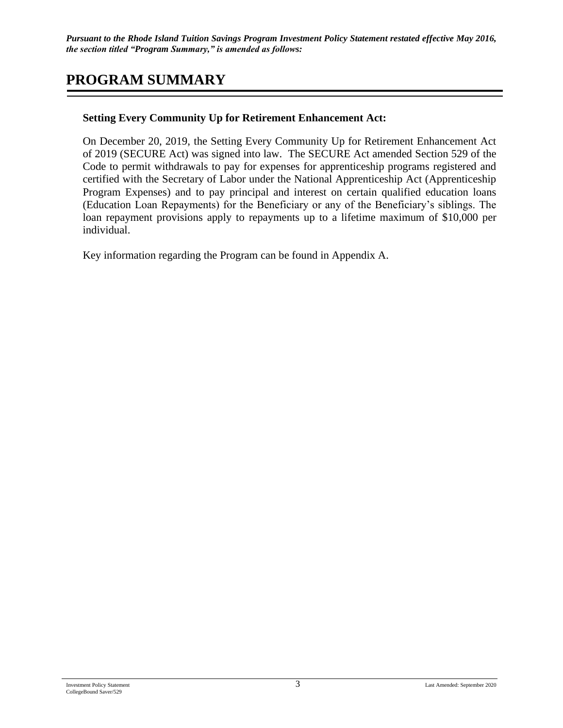*Pursuant to the Rhode Island Tuition Savings Program Investment Policy Statement restated effective May 2016, the section titled "Program Summary," is amended as follows:*

## **PROGRAM SUMMARY**

#### **Setting Every Community Up for Retirement Enhancement Act:**

On December 20, 2019, the Setting Every Community Up for Retirement Enhancement Act of 2019 (SECURE Act) was signed into law. The SECURE Act amended Section 529 of the Code to permit withdrawals to pay for expenses for apprenticeship programs registered and certified with the Secretary of Labor under the National Apprenticeship Act (Apprenticeship Program Expenses) and to pay principal and interest on certain qualified education loans (Education Loan Repayments) for the Beneficiary or any of the Beneficiary's siblings. The loan repayment provisions apply to repayments up to a lifetime maximum of \$10,000 per individual.

Key information regarding the Program can be found in Appendix A.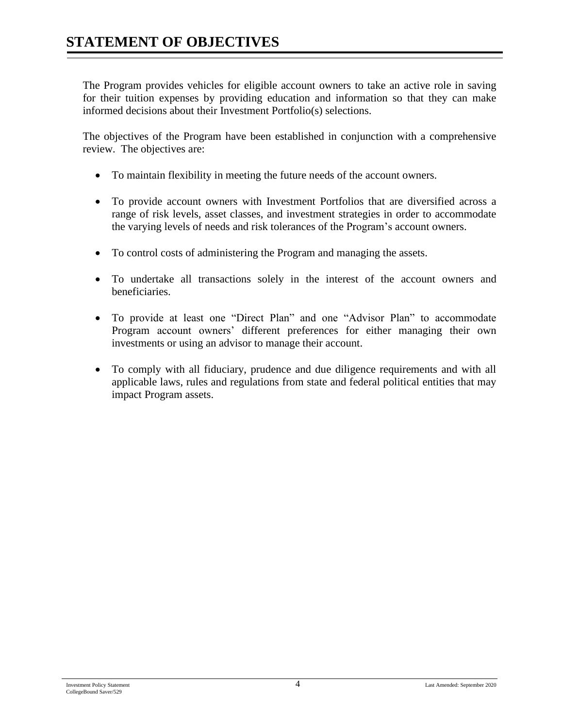The Program provides vehicles for eligible account owners to take an active role in saving for their tuition expenses by providing education and information so that they can make informed decisions about their Investment Portfolio(s) selections.

The objectives of the Program have been established in conjunction with a comprehensive review. The objectives are:

- To maintain flexibility in meeting the future needs of the account owners.
- To provide account owners with Investment Portfolios that are diversified across a range of risk levels, asset classes, and investment strategies in order to accommodate the varying levels of needs and risk tolerances of the Program's account owners.
- To control costs of administering the Program and managing the assets.
- To undertake all transactions solely in the interest of the account owners and beneficiaries.
- To provide at least one "Direct Plan" and one "Advisor Plan" to accommodate Program account owners' different preferences for either managing their own investments or using an advisor to manage their account.
- To comply with all fiduciary, prudence and due diligence requirements and with all applicable laws, rules and regulations from state and federal political entities that may impact Program assets.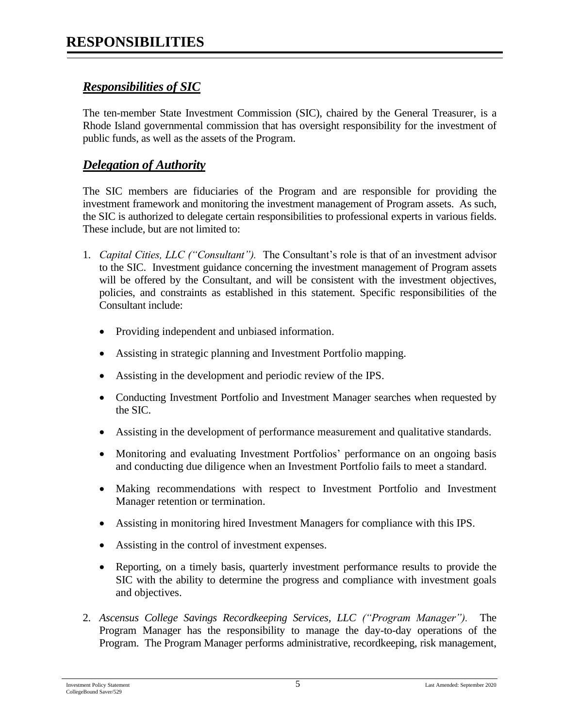### *Responsibilities of SIC*

The ten-member State Investment Commission (SIC), chaired by the General Treasurer, is a Rhode Island governmental commission that has oversight responsibility for the investment of public funds, as well as the assets of the Program.

#### *Delegation of Authority*

The SIC members are fiduciaries of the Program and are responsible for providing the investment framework and monitoring the investment management of Program assets. As such, the SIC is authorized to delegate certain responsibilities to professional experts in various fields. These include, but are not limited to:

- 1. *Capital Cities, LLC ("Consultant").* The Consultant's role is that of an investment advisor to the SIC. Investment guidance concerning the investment management of Program assets will be offered by the Consultant, and will be consistent with the investment objectives, policies, and constraints as established in this statement. Specific responsibilities of the Consultant include:
	- Providing independent and unbiased information.
	- Assisting in strategic planning and Investment Portfolio mapping.
	- Assisting in the development and periodic review of the IPS.
	- Conducting Investment Portfolio and Investment Manager searches when requested by the SIC.
	- Assisting in the development of performance measurement and qualitative standards.
	- Monitoring and evaluating Investment Portfolios' performance on an ongoing basis and conducting due diligence when an Investment Portfolio fails to meet a standard.
	- Making recommendations with respect to Investment Portfolio and Investment Manager retention or termination.
	- Assisting in monitoring hired Investment Managers for compliance with this IPS.
	- Assisting in the control of investment expenses.
	- Reporting, on a timely basis, quarterly investment performance results to provide the SIC with the ability to determine the progress and compliance with investment goals and objectives.
- 2. *Ascensus College Savings Recordkeeping Services, LLC ("Program Manager").* The Program Manager has the responsibility to manage the day-to-day operations of the Program. The Program Manager performs administrative, recordkeeping, risk management,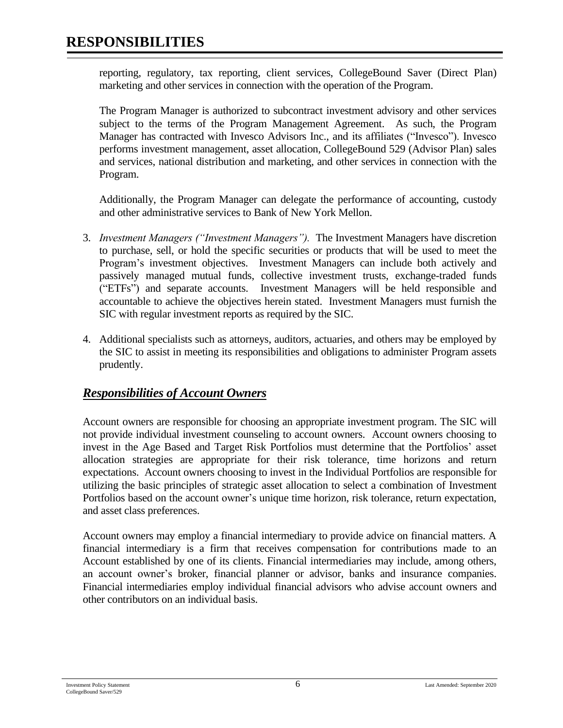# **RESPONSIBILITIES**

reporting, regulatory, tax reporting, client services, CollegeBound Saver (Direct Plan) marketing and other services in connection with the operation of the Program.

The Program Manager is authorized to subcontract investment advisory and other services subject to the terms of the Program Management Agreement. As such, the Program Manager has contracted with Invesco Advisors Inc., and its affiliates ("Invesco"). Invesco performs investment management, asset allocation, CollegeBound 529 (Advisor Plan) sales and services, national distribution and marketing, and other services in connection with the Program.

Additionally, the Program Manager can delegate the performance of accounting, custody and other administrative services to Bank of New York Mellon.

- 3. *Investment Managers ("Investment Managers").* The Investment Managers have discretion to purchase, sell, or hold the specific securities or products that will be used to meet the Program's investment objectives. Investment Managers can include both actively and passively managed mutual funds, collective investment trusts, exchange-traded funds ("ETFs") and separate accounts. Investment Managers will be held responsible and accountable to achieve the objectives herein stated. Investment Managers must furnish the SIC with regular investment reports as required by the SIC.
- 4. Additional specialists such as attorneys, auditors, actuaries, and others may be employed by the SIC to assist in meeting its responsibilities and obligations to administer Program assets prudently.

### *Responsibilities of Account Owners*

Account owners are responsible for choosing an appropriate investment program. The SIC will not provide individual investment counseling to account owners. Account owners choosing to invest in the Age Based and Target Risk Portfolios must determine that the Portfolios' asset allocation strategies are appropriate for their risk tolerance, time horizons and return expectations. Account owners choosing to invest in the Individual Portfolios are responsible for utilizing the basic principles of strategic asset allocation to select a combination of Investment Portfolios based on the account owner's unique time horizon, risk tolerance, return expectation, and asset class preferences.

Account owners may employ a financial intermediary to provide advice on financial matters. A financial intermediary is a firm that receives compensation for contributions made to an Account established by one of its clients. Financial intermediaries may include, among others, an account owner's broker, financial planner or advisor, banks and insurance companies. Financial intermediaries employ individual financial advisors who advise account owners and other contributors on an individual basis.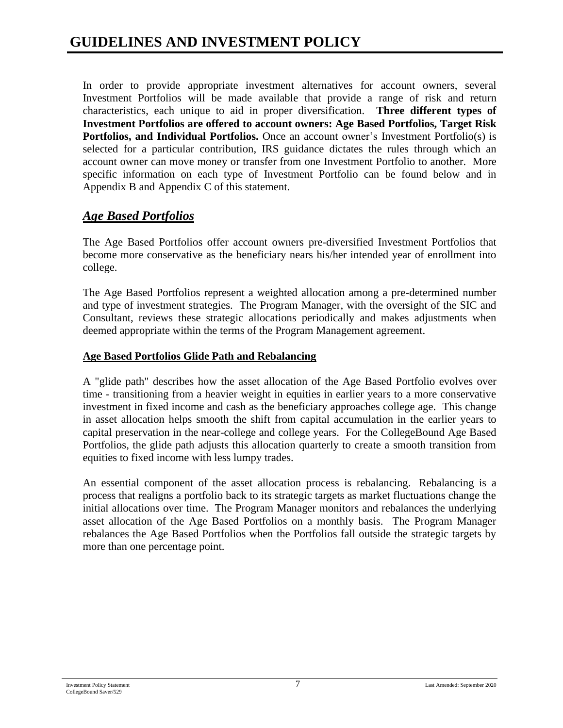In order to provide appropriate investment alternatives for account owners, several Investment Portfolios will be made available that provide a range of risk and return characteristics, each unique to aid in proper diversification. **Three different types of Investment Portfolios are offered to account owners: Age Based Portfolios, Target Risk** Portfolios, and Individual Portfolios. Once an account owner's Investment Portfolio(s) is selected for a particular contribution, IRS guidance dictates the rules through which an account owner can move money or transfer from one Investment Portfolio to another. More specific information on each type of Investment Portfolio can be found below and in Appendix B and Appendix C of this statement.

## *Age Based Portfolios*

The Age Based Portfolios offer account owners pre-diversified Investment Portfolios that become more conservative as the beneficiary nears his/her intended year of enrollment into college.

The Age Based Portfolios represent a weighted allocation among a pre-determined number and type of investment strategies. The Program Manager, with the oversight of the SIC and Consultant, reviews these strategic allocations periodically and makes adjustments when deemed appropriate within the terms of the Program Management agreement.

#### **Age Based Portfolios Glide Path and Rebalancing**

A "glide path" describes how the asset allocation of the Age Based Portfolio evolves over time - transitioning from a heavier weight in equities in earlier years to a more conservative investment in fixed income and cash as the beneficiary approaches college age. This change in asset allocation helps smooth the shift from capital accumulation in the earlier years to capital preservation in the near-college and college years. For the CollegeBound Age Based Portfolios, the glide path adjusts this allocation quarterly to create a smooth transition from equities to fixed income with less lumpy trades.

An essential component of the asset allocation process is rebalancing. Rebalancing is a process that realigns a portfolio back to its strategic targets as market fluctuations change the initial allocations over time. The Program Manager monitors and rebalances the underlying asset allocation of the Age Based Portfolios on a monthly basis. The Program Manager rebalances the Age Based Portfolios when the Portfolios fall outside the strategic targets by more than one percentage point.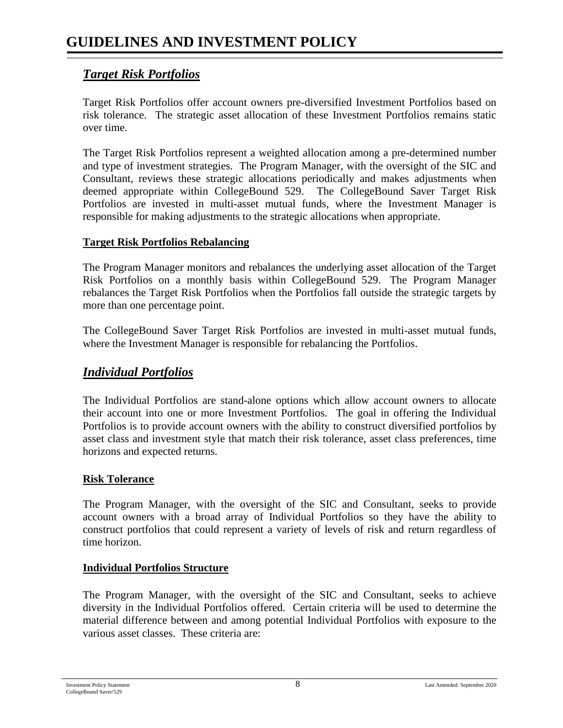#### *Target Risk Portfolios*

Target Risk Portfolios offer account owners pre-diversified Investment Portfolios based on risk tolerance. The strategic asset allocation of these Investment Portfolios remains static over time.

The Target Risk Portfolios represent a weighted allocation among a pre-determined number and type of investment strategies. The Program Manager, with the oversight of the SIC and Consultant, reviews these strategic allocations periodically and makes adjustments when deemed appropriate within CollegeBound 529. The CollegeBound Saver Target Risk Portfolios are invested in multi-asset mutual funds, where the Investment Manager is responsible for making adjustments to the strategic allocations when appropriate.

#### **Target Risk Portfolios Rebalancing**

The Program Manager monitors and rebalances the underlying asset allocation of the Target Risk Portfolios on a monthly basis within CollegeBound 529. The Program Manager rebalances the Target Risk Portfolios when the Portfolios fall outside the strategic targets by more than one percentage point.

The CollegeBound Saver Target Risk Portfolios are invested in multi-asset mutual funds, where the Investment Manager is responsible for rebalancing the Portfolios.

#### *Individual Portfolios*

The Individual Portfolios are stand-alone options which allow account owners to allocate their account into one or more Investment Portfolios. The goal in offering the Individual Portfolios is to provide account owners with the ability to construct diversified portfolios by asset class and investment style that match their risk tolerance, asset class preferences, time horizons and expected returns.

#### **Risk Tolerance**

The Program Manager, with the oversight of the SIC and Consultant, seeks to provide account owners with a broad array of Individual Portfolios so they have the ability to construct portfolios that could represent a variety of levels of risk and return regardless of time horizon.

#### **Individual Portfolios Structure**

The Program Manager, with the oversight of the SIC and Consultant, seeks to achieve diversity in the Individual Portfolios offered. Certain criteria will be used to determine the material difference between and among potential Individual Portfolios with exposure to the various asset classes. These criteria are: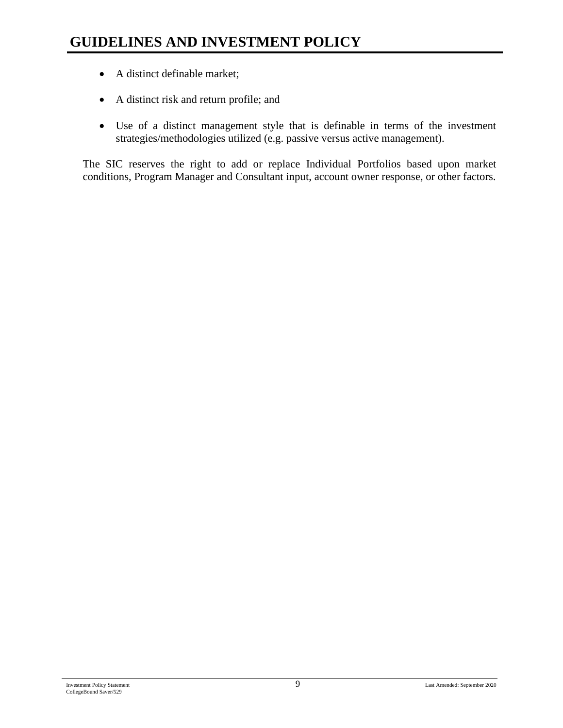- A distinct definable market;
- A distinct risk and return profile; and
- Use of a distinct management style that is definable in terms of the investment strategies/methodologies utilized (e.g. passive versus active management).

The SIC reserves the right to add or replace Individual Portfolios based upon market conditions, Program Manager and Consultant input, account owner response, or other factors.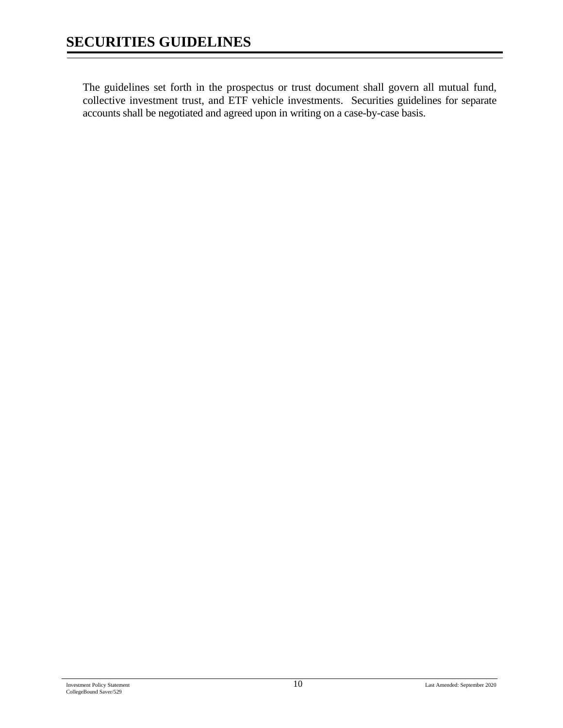The guidelines set forth in the prospectus or trust document shall govern all mutual fund, collective investment trust, and ETF vehicle investments. Securities guidelines for separate accounts shall be negotiated and agreed upon in writing on a case-by-case basis.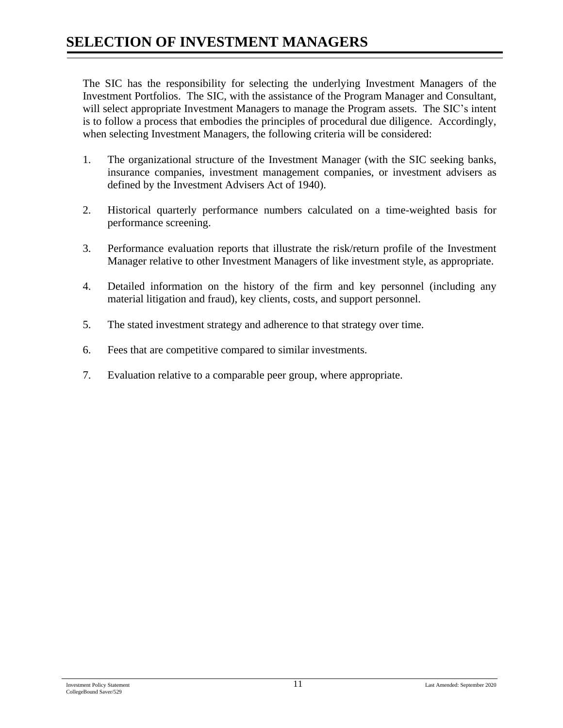# **SELECTION OF INVESTMENT MANAGERS**

The SIC has the responsibility for selecting the underlying Investment Managers of the Investment Portfolios. The SIC, with the assistance of the Program Manager and Consultant, will select appropriate Investment Managers to manage the Program assets. The SIC's intent is to follow a process that embodies the principles of procedural due diligence. Accordingly, when selecting Investment Managers, the following criteria will be considered:

- 1. The organizational structure of the Investment Manager (with the SIC seeking banks, insurance companies, investment management companies, or investment advisers as defined by the Investment Advisers Act of 1940).
- 2. Historical quarterly performance numbers calculated on a time-weighted basis for performance screening.
- 3. Performance evaluation reports that illustrate the risk/return profile of the Investment Manager relative to other Investment Managers of like investment style, as appropriate.
- 4. Detailed information on the history of the firm and key personnel (including any material litigation and fraud), key clients, costs, and support personnel.
- 5. The stated investment strategy and adherence to that strategy over time.
- 6. Fees that are competitive compared to similar investments.
- 7. Evaluation relative to a comparable peer group, where appropriate.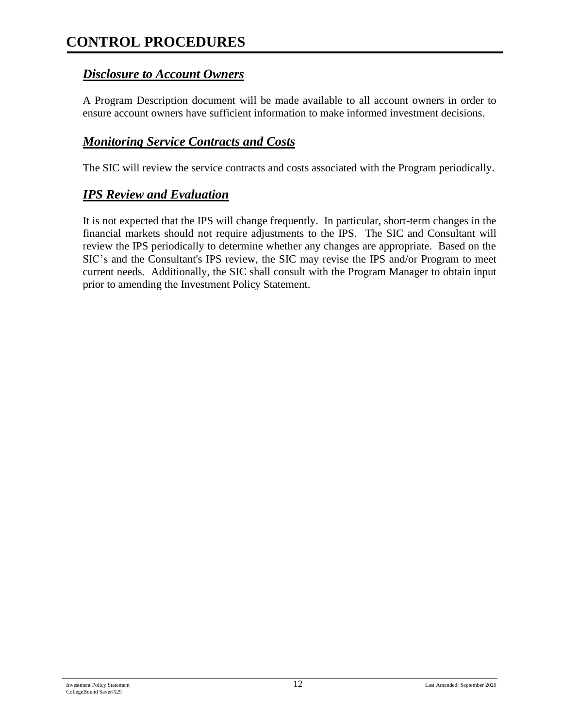# **CONTROL PROCEDURES**

#### *Disclosure to Account Owners*

A Program Description document will be made available to all account owners in order to ensure account owners have sufficient information to make informed investment decisions.

#### *Monitoring Service Contracts and Costs*

The SIC will review the service contracts and costs associated with the Program periodically.

#### *IPS Review and Evaluation*

It is not expected that the IPS will change frequently. In particular, short-term changes in the financial markets should not require adjustments to the IPS. The SIC and Consultant will review the IPS periodically to determine whether any changes are appropriate. Based on the SIC's and the Consultant's IPS review, the SIC may revise the IPS and/or Program to meet current needs. Additionally, the SIC shall consult with the Program Manager to obtain input prior to amending the Investment Policy Statement.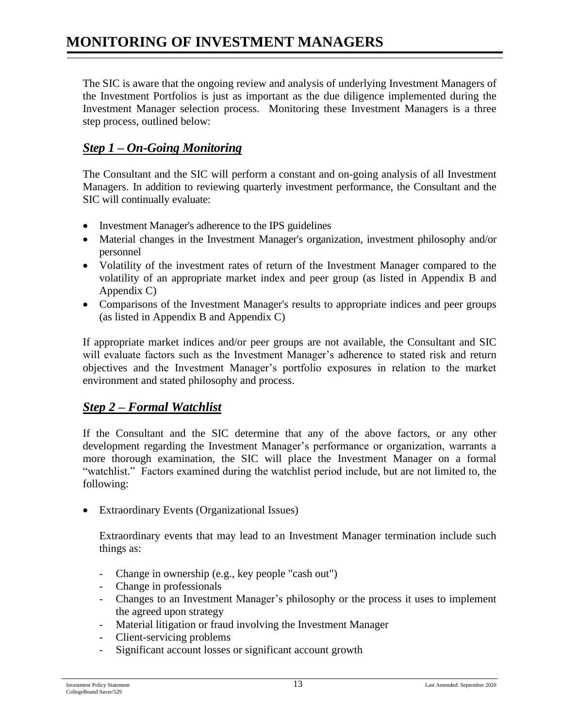The SIC is aware that the ongoing review and analysis of underlying Investment Managers of the Investment Portfolios is just as important as the due diligence implemented during the Investment Manager selection process. Monitoring these Investment Managers is a three step process, outlined below:

## *Step 1 – On-Going Monitoring*

The Consultant and the SIC will perform a constant and on-going analysis of all Investment Managers. In addition to reviewing quarterly investment performance, the Consultant and the SIC will continually evaluate:

- Investment Manager's adherence to the IPS guidelines
- Material changes in the Investment Manager's organization, investment philosophy and/or personnel
- Volatility of the investment rates of return of the Investment Manager compared to the volatility of an appropriate market index and peer group (as listed in Appendix B and Appendix C)
- Comparisons of the Investment Manager's results to appropriate indices and peer groups (as listed in Appendix B and Appendix C)

If appropriate market indices and/or peer groups are not available, the Consultant and SIC will evaluate factors such as the Investment Manager's adherence to stated risk and return objectives and the Investment Manager's portfolio exposures in relation to the market environment and stated philosophy and process.

### *Step 2 – Formal Watchlist*

If the Consultant and the SIC determine that any of the above factors, or any other development regarding the Investment Manager's performance or organization, warrants a more thorough examination, the SIC will place the Investment Manager on a formal "watchlist." Factors examined during the watchlist period include, but are not limited to, the following:

• Extraordinary Events (Organizational Issues)

Extraordinary events that may lead to an Investment Manager termination include such things as:

- Change in ownership (e.g., key people "cash out")
- Change in professionals
- Changes to an Investment Manager's philosophy or the process it uses to implement the agreed upon strategy
- Material litigation or fraud involving the Investment Manager
- Client-servicing problems
- Significant account losses or significant account growth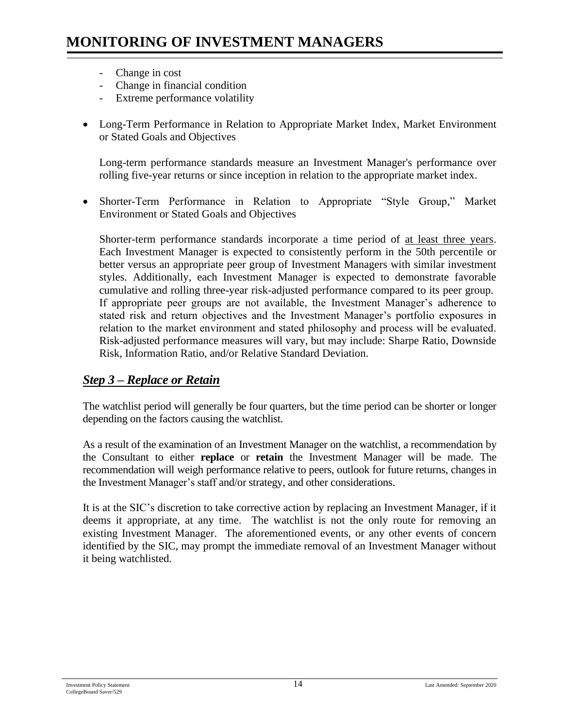- Change in cost
- Change in financial condition
- Extreme performance volatility
- Long-Term Performance in Relation to Appropriate Market Index, Market Environment or Stated Goals and Objectives

Long-term performance standards measure an Investment Manager's performance over rolling five-year returns or since inception in relation to the appropriate market index.

• Shorter-Term Performance in Relation to Appropriate "Style Group," Market Environment or Stated Goals and Objectives

Shorter-term performance standards incorporate a time period of at least three years. Each Investment Manager is expected to consistently perform in the 50th percentile or better versus an appropriate peer group of Investment Managers with similar investment styles. Additionally, each Investment Manager is expected to demonstrate favorable cumulative and rolling three-year risk-adjusted performance compared to its peer group. If appropriate peer groups are not available, the Investment Manager's adherence to stated risk and return objectives and the Investment Manager's portfolio exposures in relation to the market environment and stated philosophy and process will be evaluated. Risk-adjusted performance measures will vary, but may include: Sharpe Ratio, Downside Risk, Information Ratio, and/or Relative Standard Deviation.

#### *Step 3 – Replace or Retain*

The watchlist period will generally be four quarters, but the time period can be shorter or longer depending on the factors causing the watchlist.

As a result of the examination of an Investment Manager on the watchlist, a recommendation by the Consultant to either **replace** or **retain** the Investment Manager will be made. The recommendation will weigh performance relative to peers, outlook for future returns, changes in the Investment Manager's staff and/or strategy, and other considerations.

It is at the SIC's discretion to take corrective action by replacing an Investment Manager, if it deems it appropriate, at any time. The watchlist is not the only route for removing an existing Investment Manager. The aforementioned events, or any other events of concern identified by the SIC, may prompt the immediate removal of an Investment Manager without it being watchlisted.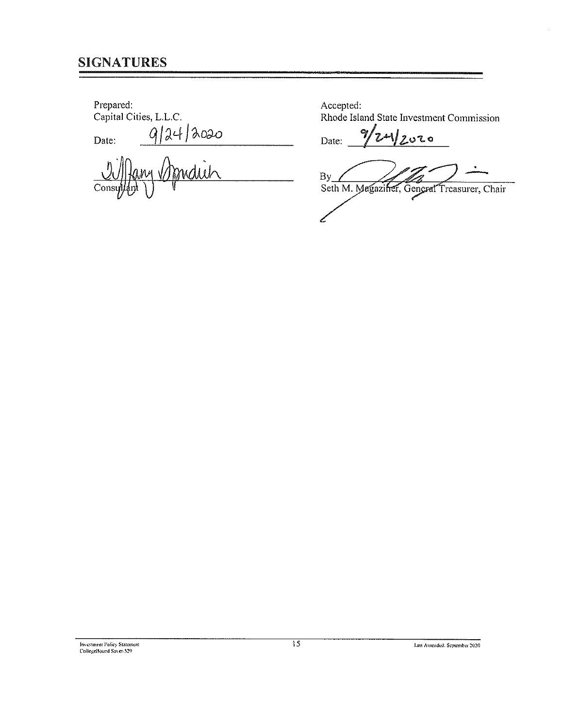## **SIGNATURES**

Prepared:

Capital Cities, L.L.C.

Date:

9/24/2020  $\eta$ Con

Accepted: Rhode Island State Investment Commission

 $\gamma$  $4/2020$ Date:

By Seth M. Magaziner, General Treasurer, Chair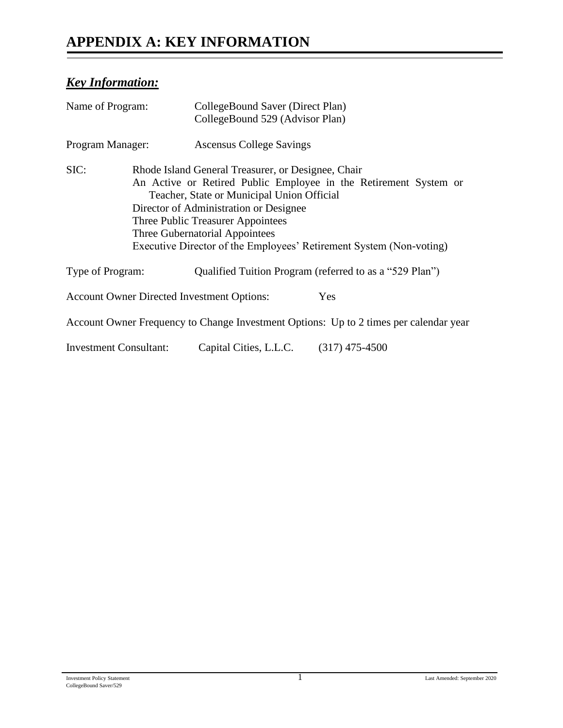# **APPENDIX A: KEY INFORMATION**

## *Key Information:*

| Name of Program:              | CollegeBound Saver (Direct Plan)<br>CollegeBound 529 (Advisor Plan)                                                                                                                                                                                                                                                                                          |                                                                                       |  |
|-------------------------------|--------------------------------------------------------------------------------------------------------------------------------------------------------------------------------------------------------------------------------------------------------------------------------------------------------------------------------------------------------------|---------------------------------------------------------------------------------------|--|
| Program Manager:              | <b>Ascensus College Savings</b>                                                                                                                                                                                                                                                                                                                              |                                                                                       |  |
| SIC:                          | Rhode Island General Treasurer, or Designee, Chair<br>An Active or Retired Public Employee in the Retirement System or<br>Teacher, State or Municipal Union Official<br>Director of Administration or Designee<br>Three Public Treasurer Appointees<br>Three Gubernatorial Appointees<br>Executive Director of the Employees' Retirement System (Non-voting) |                                                                                       |  |
| Type of Program:              |                                                                                                                                                                                                                                                                                                                                                              | Qualified Tuition Program (referred to as a "529 Plan")                               |  |
|                               | <b>Account Owner Directed Investment Options:</b>                                                                                                                                                                                                                                                                                                            | Yes                                                                                   |  |
|                               |                                                                                                                                                                                                                                                                                                                                                              | Account Owner Frequency to Change Investment Options: Up to 2 times per calendar year |  |
| <b>Investment Consultant:</b> | Capital Cities, L.L.C. (317) 475-4500                                                                                                                                                                                                                                                                                                                        |                                                                                       |  |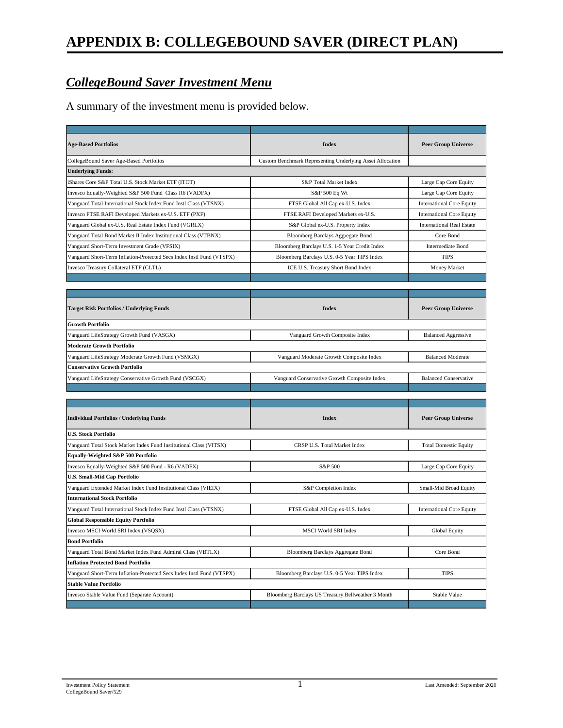#### *CollegeBound Saver Investment Menu*

A summary of the investment menu is provided below.

| <b>Age-Based Portfolios</b>                                           | <b>Index</b>                                              | <b>Peer Group Universe</b>       |
|-----------------------------------------------------------------------|-----------------------------------------------------------|----------------------------------|
| CollegeBound Saver Age-Based Portfolios                               | Custom Benchmark Representing Underlying Asset Allocation |                                  |
| <b>Underlying Funds:</b>                                              |                                                           |                                  |
| iShares Core S&P Total U.S. Stock Market ETF (ITOT)                   | S&P Total Market Index                                    | Large Cap Core Equity            |
| Invesco Equally-Weighted S&P 500 Fund Class R6 (VADFX)                | S&P 500 Eq Wt                                             | Large Cap Core Equity            |
| Vanguard Total International Stock Index Fund Instl Class (VTSNX)     | FTSE Global All Cap ex-U.S. Index                         | <b>International Core Equity</b> |
| Invesco FTSE RAFI Developed Markets ex-U.S. ETF (PXF)                 | FTSE RAFI Developed Markets ex-U.S.                       | <b>International Core Equity</b> |
| Vanguard Global ex-U.S. Real Estate Index Fund (VGRLX)                | S&P Global ex-U.S. Property Index                         | <b>International Real Estate</b> |
| Vanguard Total Bond Market II Index Institutional Class (VTBNX)       | Bloomberg Barclays Aggregate Bond                         | Core Bond                        |
| Vanguard Short-Term Investment Grade (VFSIX)                          | Bloomberg Barclays U.S. 1-5 Year Credit Index             | <b>Intermediate Bond</b>         |
| Vanguard Short-Term Inflation-Protected Secs Index Instl Fund (VTSPX) | Bloomberg Barclays U.S. 0-5 Year TIPS Index               | <b>TIPS</b>                      |
| Invesco Treasury Collateral ETF (CLTL)                                | ICE U.S. Treasury Short Bond Index                        | <b>Money Market</b>              |
|                                                                       |                                                           |                                  |
|                                                                       |                                                           |                                  |
| <b>Target Risk Portfolios / Underlying Funds</b>                      | <b>Index</b>                                              | <b>Peer Group Universe</b>       |
| <b>Growth Portfolio</b>                                               |                                                           |                                  |
| Vanguard LifeStrategy Growth Fund (VASGX)                             | Vanguard Growth Composite Index                           | <b>Balanced Aggressive</b>       |
| <b>Moderate Growth Portfolio</b>                                      |                                                           |                                  |
| Vanguard LifeStrategy Moderate Growth Fund (VSMGX)                    | Vanguard Moderate Growth Composite Index                  | <b>Balanced Moderate</b>         |
| <b>Conservative Growth Portfolio</b>                                  |                                                           |                                  |
| Vanguard LifeStrategy Conservative Growth Fund (VSCGX)                | Vanguard Conservative Growth Composite Index              | <b>Balanced Conservative</b>     |
|                                                                       |                                                           |                                  |
|                                                                       |                                                           |                                  |
| <b>Individual Portfolios / Underlying Funds</b>                       | <b>Index</b>                                              | <b>Peer Group Universe</b>       |
| <b>U.S. Stock Portfolio</b>                                           |                                                           |                                  |
| Vanguard Total Stock Market Index Fund Institutional Class (VITSX)    | CRSP U.S. Total Market Index                              | <b>Total Domestic Equity</b>     |
| Equally-Weighted S&P 500 Portfolio                                    |                                                           |                                  |
| Invesco Equally-Weighted S&P 500 Fund - R6 (VADFX)                    | S&P 500                                                   | Large Cap Core Equity            |
| <b>U.S. Small-Mid Cap Portfolio</b>                                   |                                                           |                                  |
| Vanguard Extended Market Index Fund Institutional Class (VIEIX)       | S&P Completion Index                                      | Small-Mid Broad Equity           |
| <b>International Stock Portfolio</b>                                  |                                                           |                                  |
| Vanguard Total International Stock Index Fund Instl Class (VTSNX)     | FTSE Global All Cap ex-U.S. Index                         | <b>International Core Equity</b> |
| <b>Global Responsible Equity Portfolio</b>                            |                                                           |                                  |
| Invesco MSCI World SRI Index (VSQSX)                                  | <b>MSCI World SRI Index</b>                               | Global Equity                    |
| <b>Bond Portfolio</b>                                                 |                                                           |                                  |
| Vanguard Total Bond Market Index Fund Admiral Class (VBTLX)           | <b>Bloomberg Barclays Aggregate Bond</b>                  | Core Bond                        |
| <b>Inflation Protected Bond Portfolio</b>                             |                                                           |                                  |
| Vanguard Short-Term Inflation-Protected Secs Index Instl Fund (VTSPX) | Bloomberg Barclays U.S. 0-5 Year TIPS Index               | <b>TIPS</b>                      |
| <b>Stable Value Portfolio</b>                                         |                                                           |                                  |
| Invesco Stable Value Fund (Separate Account)                          | Bloomberg Barclays US Treasury Bellweather 3 Month        | Stable Value                     |
|                                                                       |                                                           |                                  |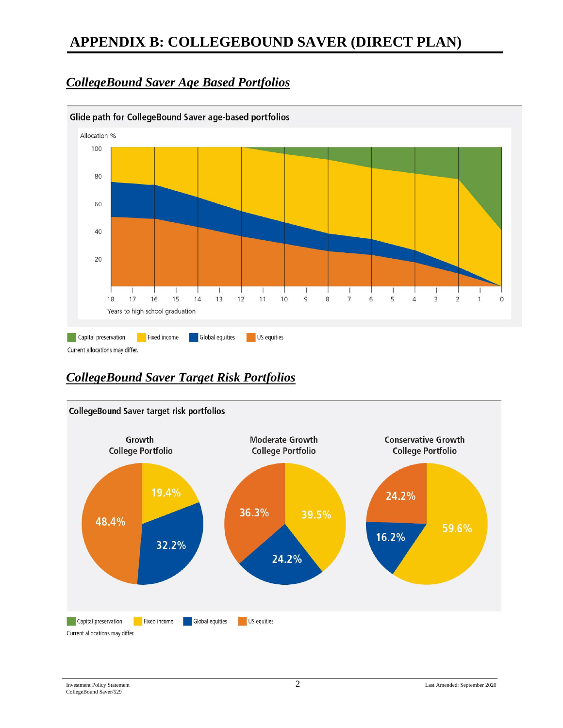# **APPENDIX B: COLLEGEBOUND SAVER (DIRECT PLAN)**

#### *CollegeBound Saver Age Based Portfolios*



## *CollegeBound Saver Target Risk Portfolios*

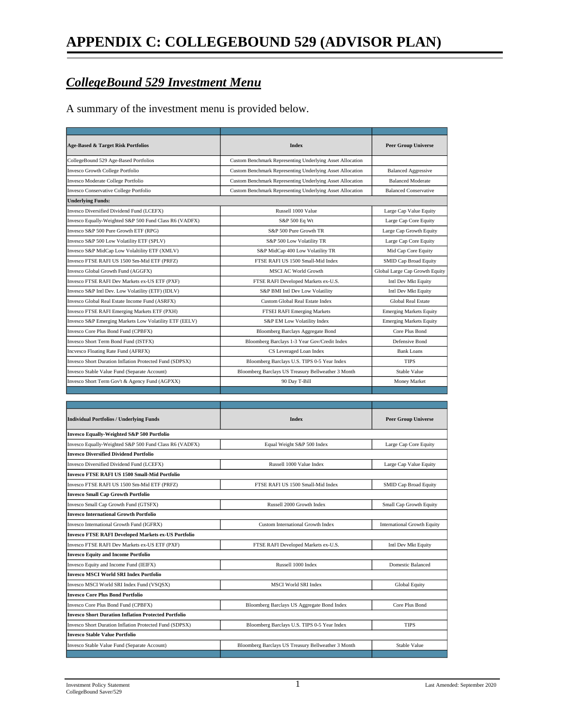### *CollegeBound 529 Investment Menu*

A summary of the investment menu is provided below.

| Age-Based & Target Risk Portfolios                      | <b>Index</b>                                              | <b>Peer Group Universe</b>     |  |  |
|---------------------------------------------------------|-----------------------------------------------------------|--------------------------------|--|--|
| CollegeBound 529 Age-Based Portfolios                   | Custom Benchmark Representing Underlying Asset Allocation |                                |  |  |
| Invesco Growth College Portfolio                        | Custom Benchmark Representing Underlying Asset Allocation | <b>Balanced Aggressive</b>     |  |  |
| Invesco Moderate College Portfolio                      | Custom Benchmark Representing Underlying Asset Allocation | <b>Balanced Moderate</b>       |  |  |
| Invesco Conservative College Portfolio                  | Custom Benchmark Representing Underlying Asset Allocation | <b>Balanced Conservative</b>   |  |  |
| <b>Underlying Funds:</b>                                |                                                           |                                |  |  |
| Invesco Diversified Dividend Fund (LCEFX)               | Russell 1000 Value                                        | Large Cap Value Equity         |  |  |
| Invesco Equally-Weighted S&P 500 Fund Class R6 (VADFX)  | S&P 500 Eq Wt                                             | Large Cap Core Equity          |  |  |
| Invesco S&P 500 Pure Growth ETF (RPG)                   | S&P 500 Pure Growth TR                                    | Large Cap Growth Equity        |  |  |
| Invesco S&P 500 Low Volatility ETF (SPLV)               | S&P 500 Low Volatility TR                                 | Large Cap Core Equity          |  |  |
| Invesco S&P MidCap Low Volaltility ETF (XMLV)           | S&P MidCap 400 Low Volatility TR                          | Mid Cap Core Equity            |  |  |
| Invesco FTSE RAFI US 1500 Sm-Mid ETF (PRFZ)             | FTSE RAFI US 1500 Small-Mid Index                         | <b>SMID Cap Broad Equity</b>   |  |  |
| Invesco Global Growth Fund (AGGFX)                      | <b>MSCI AC World Growth</b>                               | Global Large Cap Growth Equity |  |  |
| Invesco FTSE RAFI Dev Markets ex-US ETF (PXF)           | FTSE RAFI Developed Markets ex-U.S.                       | Intl Dev Mkt Equity            |  |  |
| Invesco S&P Intl Dev. Low Volatility (ETF) (IDLV)       | S&P BMI Intl Dev Low Volatility                           | Intl Dev Mkt Equity            |  |  |
| Invesco Global Real Estate Income Fund (ASRFX)          | Custom Global Real Estate Index                           | Global Real Estate             |  |  |
| Invesco FTSE RAFI Emerging Markets ETF (PXH)            | FTSEI RAFI Emerging Markets                               | <b>Emerging Markets Equity</b> |  |  |
| Invesco S&P Emerging Markets Low Volatility ETF (EELV)  | S&P EM Low Volatility Index                               | <b>Emerging Markets Equity</b> |  |  |
| Invesco Core Plus Bond Fund (CPBFX)                     | Bloomberg Barclays Aggregate Bond                         | Core Plus Bond                 |  |  |
| Invesco Short Term Bond Fund (ISTFX)                    | Bloomberg Barclays 1-3 Year Gov/Credit Index              | Defensive Bond                 |  |  |
| Incvesco Floating Rate Fund (AFRFX)                     | CS Leveraged Loan Index                                   | <b>Bank Loans</b>              |  |  |
| Invesco Short Duration Inflation Protected Fund (SDPSX) | Bloomberg Barclays U.S. TIPS 0-5 Year Index               | <b>TIPS</b>                    |  |  |
| Invesco Stable Value Fund (Separate Account)            | Bloomberg Barclays US Treasury Bellweather 3 Month        | Stable Value                   |  |  |
| Invesco Short Term Gov't & Agency Fund (AGPXX)          | 90 Day T-Bill                                             | Money Market                   |  |  |
|                                                         |                                                           |                                |  |  |
|                                                         |                                                           |                                |  |  |
| <b>Individual Portfolios / Underlying Funds</b>         | <b>Index</b>                                              | <b>Peer Group Universe</b>     |  |  |
| Invesco Equally-Weighted S&P 500 Portfolio              |                                                           |                                |  |  |

| Invesco Equally-Weighted S&P 500 Portfolio                  |                                                    |                                    |  |  |  |
|-------------------------------------------------------------|----------------------------------------------------|------------------------------------|--|--|--|
| Invesco Equally-Weighted S&P 500 Fund Class R6 (VADFX)      | Equal Weight S&P 500 Index                         | Large Cap Core Equity              |  |  |  |
| <b>Invesco Diversified Dividend Portfolio</b>               |                                                    |                                    |  |  |  |
| Invesco Diversified Dividend Fund (LCEFX)                   | Russell 1000 Value Index                           | Large Cap Value Equity             |  |  |  |
| <b>Invesco FTSE RAFI US 1500 Small-Mid Portfolio</b>        |                                                    |                                    |  |  |  |
| Invesco FTSE RAFI US 1500 Sm-Mid ETF (PRFZ)                 | FTSE RAFI US 1500 Small-Mid Index                  | <b>SMID Cap Broad Equity</b>       |  |  |  |
| <b>Invesco Small Cap Growth Portfolio</b>                   |                                                    |                                    |  |  |  |
| Invesco Small Cap Growth Fund (GTSFX)                       | Russell 2000 Growth Index                          | Small Cap Growth Equity            |  |  |  |
| <b>Invesco International Growth Portfolio</b>               |                                                    |                                    |  |  |  |
| Invesco International Growth Fund (IGFRX)                   | Custom International Growth Index                  | <b>International Growth Equity</b> |  |  |  |
| <b>Invesco FTSE RAFI Developed Markets ex-US Portfolio</b>  |                                                    |                                    |  |  |  |
| Invesco FTSE RAFI Dev Markets ex-US ETF (PXF)               | FTSE RAFI Developed Markets ex-U.S.                | Intl Dev Mkt Equity                |  |  |  |
| <b>Invesco Equity and Income Portfolio</b>                  |                                                    |                                    |  |  |  |
| Invesco Equity and Income Fund (IEIFX)                      | Russell 1000 Index                                 | Domestic Balanced                  |  |  |  |
| <b>Invesco MSCI World SRI Index Portfolio</b>               |                                                    |                                    |  |  |  |
| Invesco MSCI World SRI Index Fund (VSQSX)                   | MSCI World SRI Index                               | Global Equity                      |  |  |  |
| <b>Invesco Core Plus Bond Portfolio</b>                     |                                                    |                                    |  |  |  |
| Invesco Core Plus Bond Fund (CPBFX)                         | Bloomberg Barclays US Aggregate Bond Index         | Core Plus Bond                     |  |  |  |
| <b>Invesco Short Duration Inflation Protected Portfolio</b> |                                                    |                                    |  |  |  |
| Invesco Short Duration Inflation Protected Fund (SDPSX)     | Bloomberg Barclays U.S. TIPS 0-5 Year Index        | <b>TIPS</b>                        |  |  |  |
| <b>Invesco Stable Value Portfolio</b>                       |                                                    |                                    |  |  |  |
| Invesco Stable Value Fund (Separate Account)                | Bloomberg Barclays US Treasury Bellweather 3 Month | Stable Value                       |  |  |  |
|                                                             |                                                    |                                    |  |  |  |